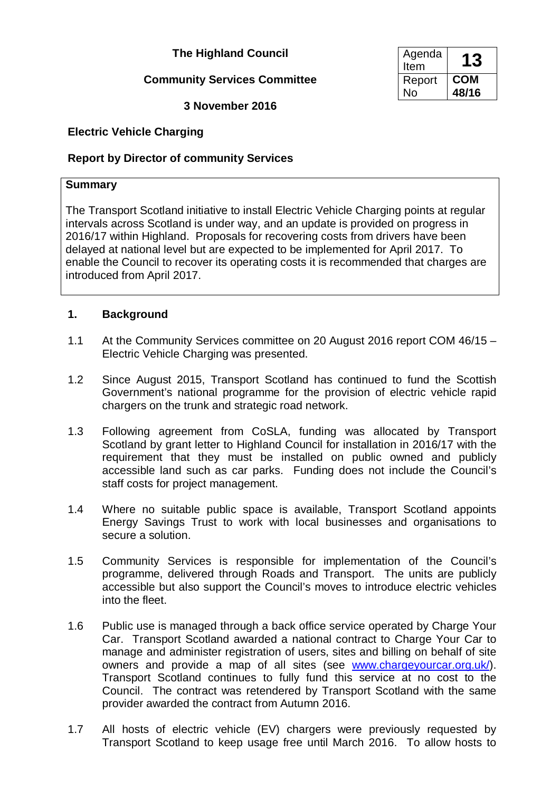# **The Highland Council**

# **Community Services Committee**

**3 November 2016**

# **Electric Vehicle Charging**

## **Report by Director of community Services**

#### **Summary**

The Transport Scotland initiative to install Electric Vehicle Charging points at regular intervals across Scotland is under way, and an update is provided on progress in 2016/17 within Highland. Proposals for recovering costs from drivers have been delayed at national level but are expected to be implemented for April 2017. To enable the Council to recover its operating costs it is recommended that charges are introduced from April 2017.

#### **1. Background**

- 1.1 At the Community Services committee on 20 August 2016 report COM 46/15 Electric Vehicle Charging was presented.
- 1.2 Since August 2015, Transport Scotland has continued to fund the Scottish Government's national programme for the provision of electric vehicle rapid chargers on the trunk and strategic road network.
- 1.3 Following agreement from CoSLA, funding was allocated by Transport Scotland by grant letter to Highland Council for installation in 2016/17 with the requirement that they must be installed on public owned and publicly accessible land such as car parks. Funding does not include the Council's staff costs for project management.
- 1.4 Where no suitable public space is available, Transport Scotland appoints Energy Savings Trust to work with local businesses and organisations to secure a solution.
- 1.5 Community Services is responsible for implementation of the Council's programme, delivered through Roads and Transport. The units are publicly accessible but also support the Council's moves to introduce electric vehicles into the fleet.
- 1.6 Public use is managed through a back office service operated by Charge Your Car. Transport Scotland awarded a national contract to Charge Your Car to manage and administer registration of users, sites and billing on behalf of site owners and provide a map of all sites (see [www.chargeyourcar.org.uk/\)](http://chargeyourcar.org.uk/). Transport Scotland continues to fully fund this service at no cost to the Council. The contract was retendered by Transport Scotland with the same provider awarded the contract from Autumn 2016.
- 1.7 All hosts of electric vehicle (EV) chargers were previously requested by Transport Scotland to keep usage free until March 2016. To allow hosts to

| Agenda<br>Item | .3    |
|----------------|-------|
| Report         | COM   |
| Jဂ             | 48/16 |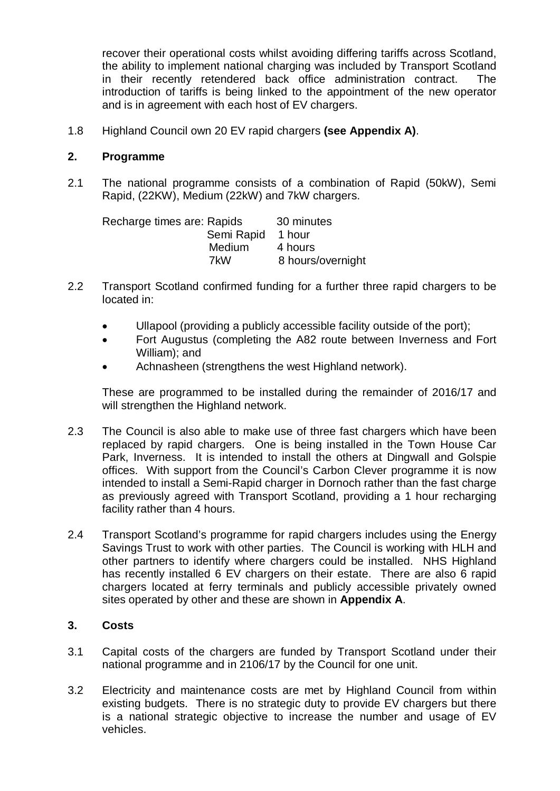recover their operational costs whilst avoiding differing tariffs across Scotland, the ability to implement national charging was included by Transport Scotland in their recently retendered back office administration contract. The introduction of tariffs is being linked to the appointment of the new operator and is in agreement with each host of EV chargers.

1.8 Highland Council own 20 EV rapid chargers **(see Appendix A)**.

### **2. Programme**

2.1 The national programme consists of a combination of Rapid (50kW), Semi Rapid, (22KW), Medium (22kW) and 7kW chargers.

| Recharge times are: Rapids |            | 30 minutes        |
|----------------------------|------------|-------------------|
|                            | Semi Rapid | 1 hour            |
|                            | Medium     | 4 hours           |
|                            | 7kW        | 8 hours/overnight |

- 2.2 Transport Scotland confirmed funding for a further three rapid chargers to be located in:
	- Ullapool (providing a publicly accessible facility outside of the port):
	- Fort Augustus (completing the A82 route between Inverness and Fort William); and
	- Achnasheen (strengthens the west Highland network).

These are programmed to be installed during the remainder of 2016/17 and will strengthen the Highland network.

- 2.3 The Council is also able to make use of three fast chargers which have been replaced by rapid chargers. One is being installed in the Town House Car Park, Inverness. It is intended to install the others at Dingwall and Golspie offices. With support from the Council's Carbon Clever programme it is now intended to install a Semi-Rapid charger in Dornoch rather than the fast charge as previously agreed with Transport Scotland, providing a 1 hour recharging facility rather than 4 hours.
- 2.4 Transport Scotland's programme for rapid chargers includes using the Energy Savings Trust to work with other parties. The Council is working with HLH and other partners to identify where chargers could be installed. NHS Highland has recently installed 6 EV chargers on their estate. There are also 6 rapid chargers located at ferry terminals and publicly accessible privately owned sites operated by other and these are shown in **Appendix A**.

### **3. Costs**

- 3.1 Capital costs of the chargers are funded by Transport Scotland under their national programme and in 2106/17 by the Council for one unit.
- 3.2 Electricity and maintenance costs are met by Highland Council from within existing budgets. There is no strategic duty to provide EV chargers but there is a national strategic objective to increase the number and usage of EV vehicles.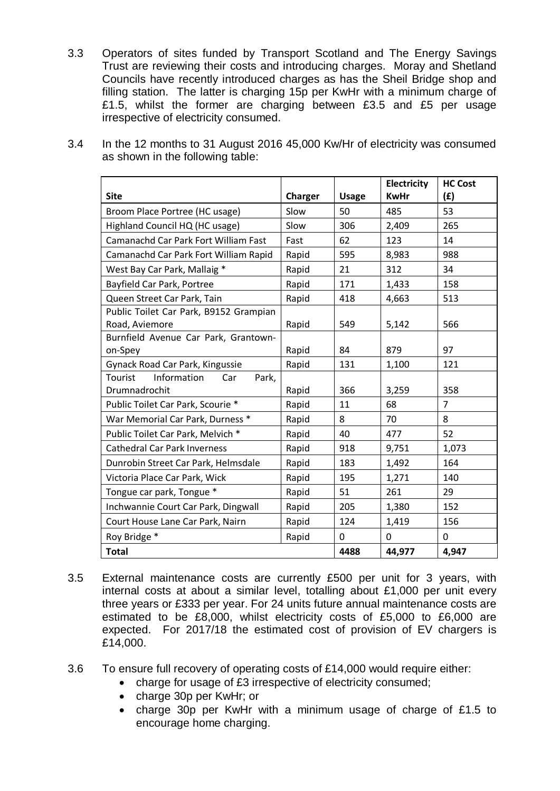3.3 Operators of sites funded by Transport Scotland and The Energy Savings Trust are reviewing their costs and introducing charges. Moray and Shetland Councils have recently introduced charges as has the Sheil Bridge shop and filling station. The latter is charging 15p per KwHr with a minimum charge of £1.5, whilst the former are charging between £3.5 and £5 per usage irrespective of electricity consumed.

| <b>Site</b>                                              | Charger | <b>Usage</b> | Electricity<br><b>KwHr</b> | <b>HC Cost</b><br>(f) |
|----------------------------------------------------------|---------|--------------|----------------------------|-----------------------|
| Broom Place Portree (HC usage)                           | Slow    | 50           | 485                        | 53                    |
| Highland Council HQ (HC usage)                           | Slow    | 306          | 2,409                      | 265                   |
| Camanachd Car Park Fort William Fast                     | Fast    | 62           | 123                        | 14                    |
| Camanachd Car Park Fort William Rapid                    | Rapid   | 595          | 8,983                      | 988                   |
| West Bay Car Park, Mallaig *                             | Rapid   | 21           | 312                        | 34                    |
| Bayfield Car Park, Portree                               | Rapid   | 171          | 1,433                      | 158                   |
| Queen Street Car Park, Tain                              | Rapid   | 418          | 4,663                      | 513                   |
| Public Toilet Car Park, B9152 Grampian<br>Road, Aviemore | Rapid   | 549          | 5,142                      | 566                   |
| Burnfield Avenue Car Park, Grantown-<br>on-Spey          | Rapid   | 84           | 879                        | 97                    |
| Gynack Road Car Park, Kingussie                          | Rapid   | 131          | 1,100                      | 121                   |
| Tourist<br>Information<br>Car<br>Park,                   |         |              |                            |                       |
| Drumnadrochit                                            | Rapid   | 366          | 3,259                      | 358                   |
| Public Toilet Car Park, Scourie *                        | Rapid   | 11           | 68                         | $\overline{7}$        |
| War Memorial Car Park, Durness *                         | Rapid   | 8            | 70                         | 8                     |
| Public Toilet Car Park, Melvich *                        | Rapid   | 40           | 477                        | 52                    |
| <b>Cathedral Car Park Inverness</b>                      | Rapid   | 918          | 9,751                      | 1,073                 |
| Dunrobin Street Car Park, Helmsdale                      | Rapid   | 183          | 1,492                      | 164                   |
| Victoria Place Car Park, Wick                            | Rapid   | 195          | 1,271                      | 140                   |
| Tongue car park, Tongue *                                | Rapid   | 51           | 261                        | 29                    |
| Inchwannie Court Car Park, Dingwall                      | Rapid   | 205          | 1,380                      | 152                   |
| Court House Lane Car Park, Nairn                         | Rapid   | 124          | 1,419                      | 156                   |
| Roy Bridge *                                             | Rapid   | 0            | $\mathbf 0$                | $\mathbf 0$           |
| <b>Total</b>                                             |         | 4488         | 44,977                     | 4,947                 |

3.4 In the 12 months to 31 August 2016 45,000 Kw/Hr of electricity was consumed as shown in the following table:

- 3.5 External maintenance costs are currently £500 per unit for 3 years, with internal costs at about a similar level, totalling about £1,000 per unit every three years or £333 per year. For 24 units future annual maintenance costs are estimated to be £8,000, whilst electricity costs of £5,000 to £6,000 are expected. For 2017/18 the estimated cost of provision of EV chargers is £14,000.
- 3.6 To ensure full recovery of operating costs of £14,000 would require either:
	- charge for usage of £3 irrespective of electricity consumed;
	- charge 30p per KwHr; or
	- charge 30p per KwHr with a minimum usage of charge of £1.5 to encourage home charging.